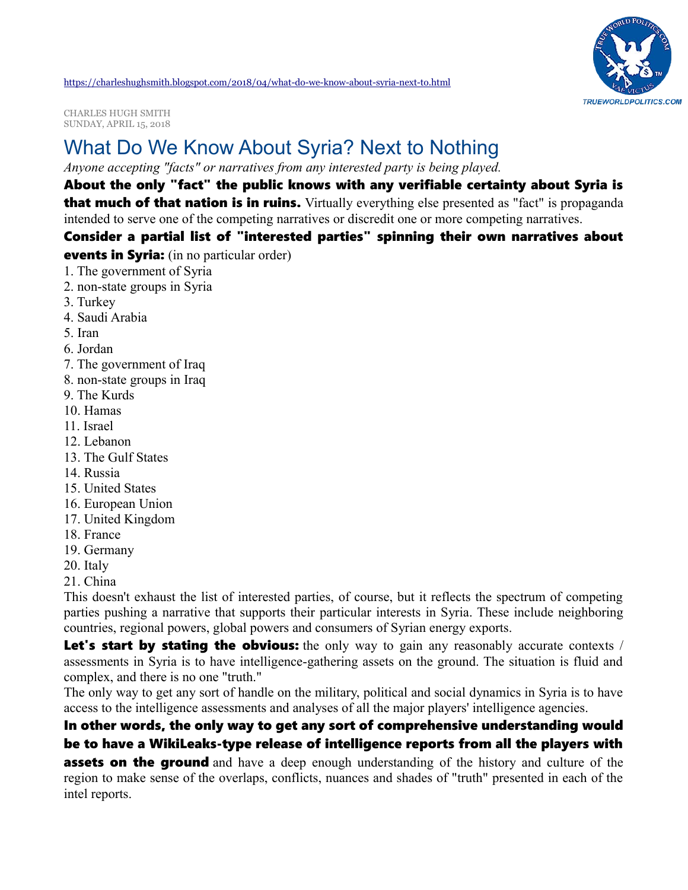

<https://charleshughsmith.blogspot.com/2018/04/what-do-we-know-about-syria-next-to.html>

CHARLES HUGH SMITH SUNDAY, APRIL 15, 2018

# [What Do We Know About Syria? Next to Nothing](https://charleshughsmith.blogspot.com/2018/04/what-do-we-know-about-syria-next-to.html)

*Anyone accepting "facts" or narratives from any interested party is being played.*

### About the only "fact" the public knows with any verifiable certainty about Syria is

that much of that nation is in ruins. Virtually everything else presented as "fact" is propaganda intended to serve one of the competing narratives or discredit one or more competing narratives.

#### Consider a partial list of "interested parties" spinning their own narratives about

**events in Syria:** (in no particular order)

- 1. The government of Syria
- 2. non-state groups in Syria
- 3. Turkey
- 4. Saudi Arabia
- 5. Iran
- 6. Jordan
- 7. The government of Iraq
- 8. non-state groups in Iraq
- 9. The Kurds
- 10. Hamas
- 11. Israel
- 12. Lebanon
- 13. The Gulf States
- 14. Russia
- 15. United States
- 16. European Union
- 17. United Kingdom
- 18. France
- 19. Germany
- 20. Italy
- 21. China

This doesn't exhaust the list of interested parties, of course, but it reflects the spectrum of competing parties pushing a narrative that supports their particular interests in Syria. These include neighboring countries, regional powers, global powers and consumers of Syrian energy exports.

Let's start by stating the obvious: the only way to gain any reasonably accurate contexts / assessments in Syria is to have intelligence-gathering assets on the ground. The situation is fluid and complex, and there is no one "truth."

The only way to get any sort of handle on the military, political and social dynamics in Syria is to have access to the intelligence assessments and analyses of all the major players' intelligence agencies.

#### In other words, the only way to get any sort of comprehensive understanding would be to have a WikiLeaks-type release of intelligence reports from all the players with

**assets on the ground** and have a deep enough understanding of the history and culture of the region to make sense of the overlaps, conflicts, nuances and shades of "truth" presented in each of the intel reports.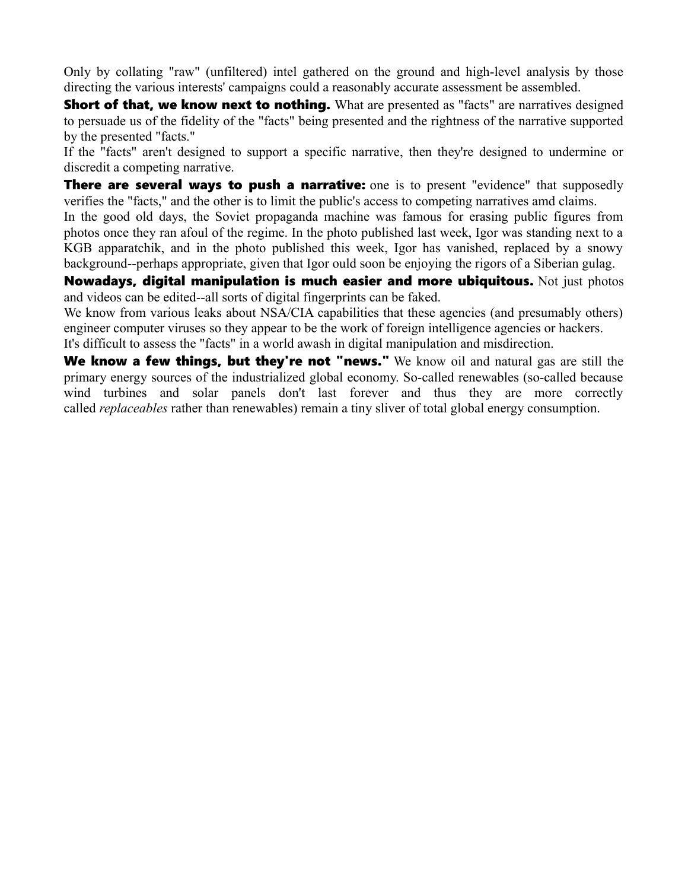Only by collating "raw" (unfiltered) intel gathered on the ground and high-level analysis by those directing the various interests' campaigns could a reasonably accurate assessment be assembled.

**Short of that, we know next to nothing.** What are presented as "facts" are narratives designed to persuade us of the fidelity of the "facts" being presented and the rightness of the narrative supported by the presented "facts."

If the "facts" aren't designed to support a specific narrative, then they're designed to undermine or discredit a competing narrative.

**There are several ways to push a narrative:** one is to present "evidence" that supposedly verifies the "facts," and the other is to limit the public's access to competing narratives amd claims.

In the good old days, the Soviet propaganda machine was famous for erasing public figures from photos once they ran afoul of the regime. In the photo published last week, Igor was standing next to a KGB apparatchik, and in the photo published this week, Igor has vanished, replaced by a snowy background--perhaps appropriate, given that Igor ould soon be enjoying the rigors of a Siberian gulag.

Nowadays, digital manipulation is much easier and more ubiquitous. Not just photos and videos can be edited--all sorts of digital fingerprints can be faked.

We know from various leaks about NSA/CIA capabilities that these agencies (and presumably others) engineer computer viruses so they appear to be the work of foreign intelligence agencies or hackers. It's difficult to assess the "facts" in a world awash in digital manipulation and misdirection.

We know a few things, but they're not "news." We know oil and natural gas are still the primary energy sources of the industrialized global economy. So-called renewables (so-called because wind turbines and solar panels don't last forever and thus they are more correctly called *replaceables* rather than renewables) remain a tiny sliver of total global energy consumption.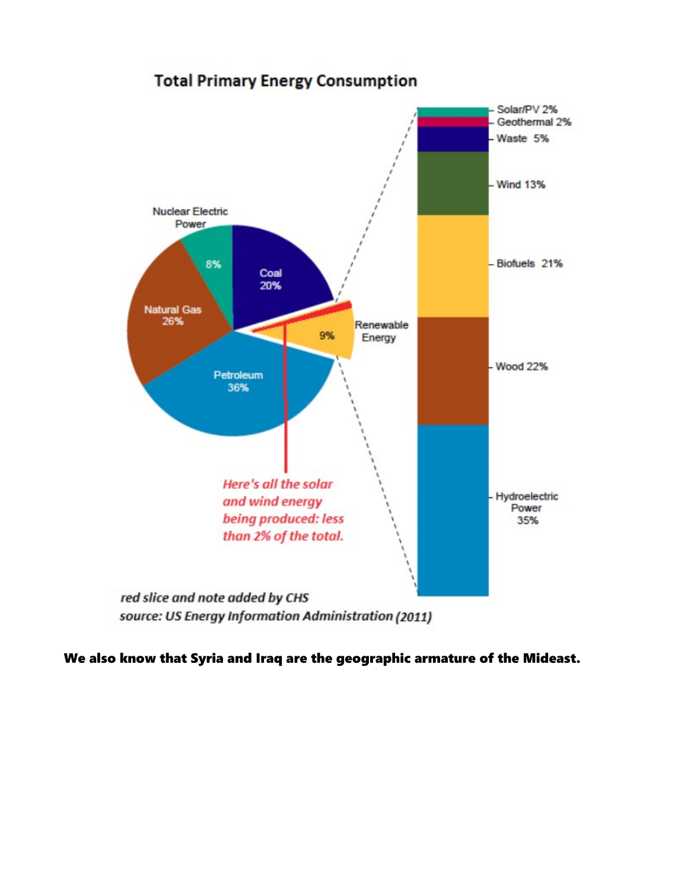## **Total Primary Energy Consumption**



We also know that Syria and Iraq are the geographic armature of the Mideast.